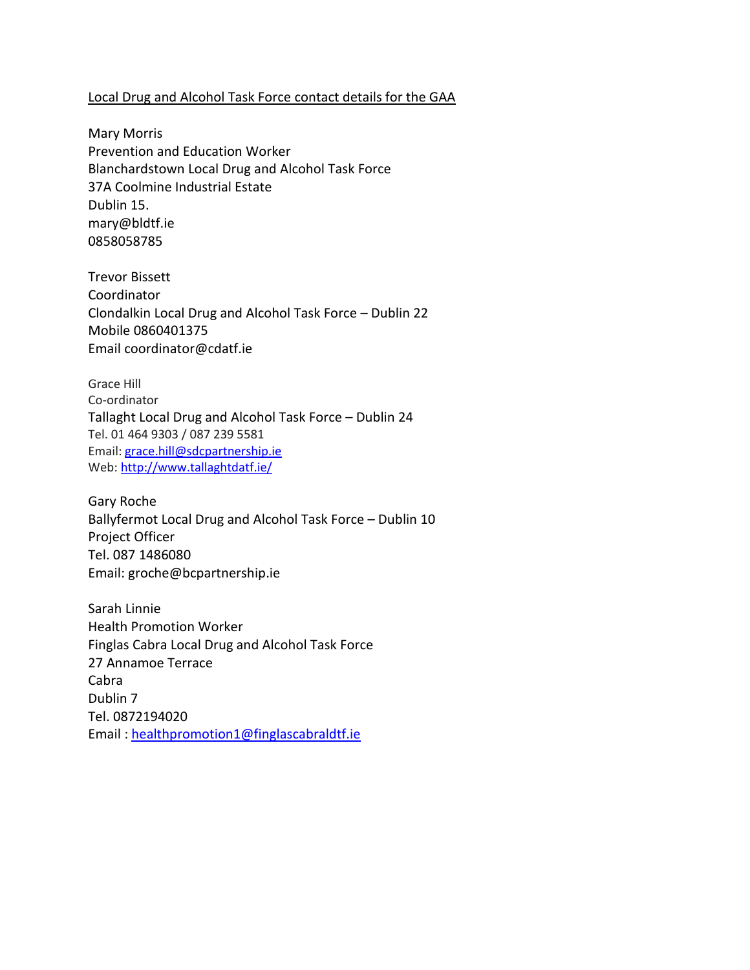## Local Drug and Alcohol Task Force contact details for the GAA

Mary Morris Prevention and Education Worker Blanchardstown Local Drug and Alcohol Task Force 37A Coolmine Industrial Estate Dublin 15. mary@bldtf.ie 0858058785

Trevor Bissett Coordinator Clondalkin Local Drug and Alcohol Task Force – Dublin 22 Mobile 0860401375 Email coordinator@cdatf.ie

Grace Hill Co-ordinator Tallaght Local Drug and Alcohol Task Force – Dublin 24 Tel. 01 464 9303 / 087 239 5581 Email: [grace.hill@sdcpartnership.ie](mailto:grace.hill@sdcpartnership.ie) Web: [http://www.tallaghtdatf.ie/](https://scanner.topsec.com/?d=2120&t=33a31f7ca2b6cb7e97aab309d46c8193f49ada1e&u=http%3A%2F%2Fwww.tallaghtdatf.ie%2F&r=show)

Gary Roche Ballyfermot Local Drug and Alcohol Task Force – Dublin 10 Project Officer Tel. 087 1486080 Email: groche@bcpartnership.ie

Sarah Linnie Health Promotion Worker Finglas Cabra Local Drug and Alcohol Task Force 27 Annamoe Terrace Cabra Dublin 7 Tel. 0872194020 Email : [healthpromotion1@finglascabraldtf.ie](mailto:healthpromotion1@finglascabraldtf.ie)